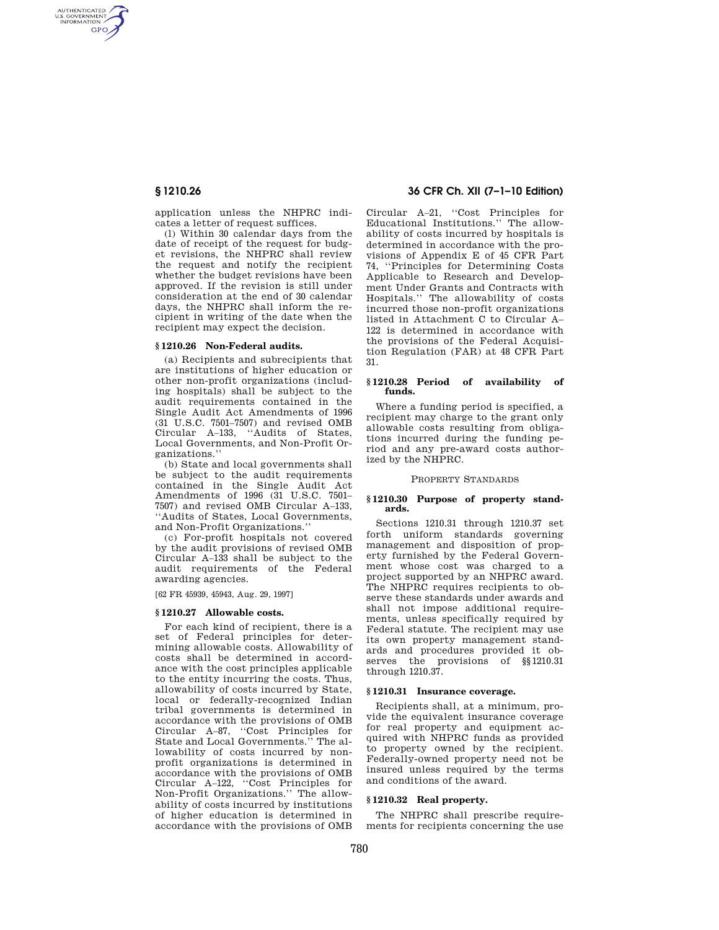AUTHENTICATED<br>U.S. GOVERNMENT<br>INFORMATION **GPO** 

> application unless the NHPRC indicates a letter of request suffices.

> (l) Within 30 calendar days from the date of receipt of the request for budget revisions, the NHPRC shall review the request and notify the recipient whether the budget revisions have been approved. If the revision is still under consideration at the end of 30 calendar days, the NHPRC shall inform the recipient in writing of the date when the recipient may expect the decision.

## **§ 1210.26 Non-Federal audits.**

(a) Recipients and subrecipients that are institutions of higher education or other non-profit organizations (including hospitals) shall be subject to the audit requirements contained in the Single Audit Act Amendments of 1996 (31 U.S.C. 7501–7507) and revised OMB Circular A–133, ''Audits of States, Local Governments, and Non-Profit Organizations.''

(b) State and local governments shall be subject to the audit requirements contained in the Single Audit Act Amendments of 1996 (31 U.S.C. 7501– 7507) and revised OMB Circular A–133, ''Audits of States, Local Governments, and Non-Profit Organizations.''

(c) For-profit hospitals not covered by the audit provisions of revised OMB Circular A–133 shall be subject to the audit requirements of the Federal awarding agencies.

[62 FR 45939, 45943, Aug. 29, 1997]

## **§ 1210.27 Allowable costs.**

For each kind of recipient, there is a set of Federal principles for determining allowable costs. Allowability of costs shall be determined in accordance with the cost principles applicable to the entity incurring the costs. Thus, allowability of costs incurred by State, local or federally-recognized Indian tribal governments is determined in accordance with the provisions of OMB Circular A–87, ''Cost Principles for State and Local Governments." The allowability of costs incurred by nonprofit organizations is determined in accordance with the provisions of OMB Circular A–122, ''Cost Principles for Non-Profit Organizations.'' The allowability of costs incurred by institutions of higher education is determined in accordance with the provisions of OMB

# **§ 1210.26 36 CFR Ch. XII (7–1–10 Edition)**

Circular A–21, ''Cost Principles for Educational Institutions.'' The allowability of costs incurred by hospitals is determined in accordance with the provisions of Appendix E of 45 CFR Part 74, ''Principles for Determining Costs Applicable to Research and Development Under Grants and Contracts with Hospitals.'' The allowability of costs incurred those non-profit organizations listed in Attachment C to Circular A– 122 is determined in accordance with the provisions of the Federal Acquisition Regulation (FAR) at 48 CFR Part 31.

## **§ 1210.28 Period of availability of funds.**

Where a funding period is specified, a recipient may charge to the grant only allowable costs resulting from obligations incurred during the funding period and any pre-award costs authorized by the NHPRC.

#### PROPERTY STANDARDS

### **§ 1210.30 Purpose of property standards.**

Sections 1210.31 through 1210.37 set forth uniform standards governing management and disposition of property furnished by the Federal Government whose cost was charged to a project supported by an NHPRC award. The NHPRC requires recipients to observe these standards under awards and shall not impose additional requirements, unless specifically required by Federal statute. The recipient may use its own property management standards and procedures provided it observes the provisions of §§1210.31 through 1210.37.

# **§ 1210.31 Insurance coverage.**

Recipients shall, at a minimum, provide the equivalent insurance coverage for real property and equipment acquired with NHPRC funds as provided to property owned by the recipient. Federally-owned property need not be insured unless required by the terms and conditions of the award.

## **§ 1210.32 Real property.**

The NHPRC shall prescribe requirements for recipients concerning the use